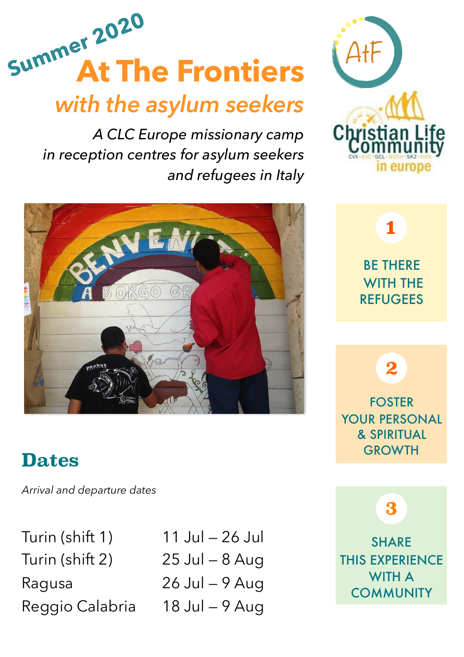

# *with the asylum seekers*

*A CLC Europe missionary camp in reception centres for asylum seekers and refugees in Italy*



## **Dates**

*Arrival and departure dates* 

Turin (shift 1) 11 Jul — 26 Jul Turin (shift 2) 25 Jul — 8 Aug Ragusa 26 Jul — 9 Aug

Reggio Calabria 18 Jul — 9 Aug



## BE THERE WITH THE REFUGEES **1**

FOSTER YOUR PERSONAL & SPIRITUAL **GROWTH** 

**2**

**3**

**SHARE** THIS EXPERIENCE WITH A **COMMUNITY**